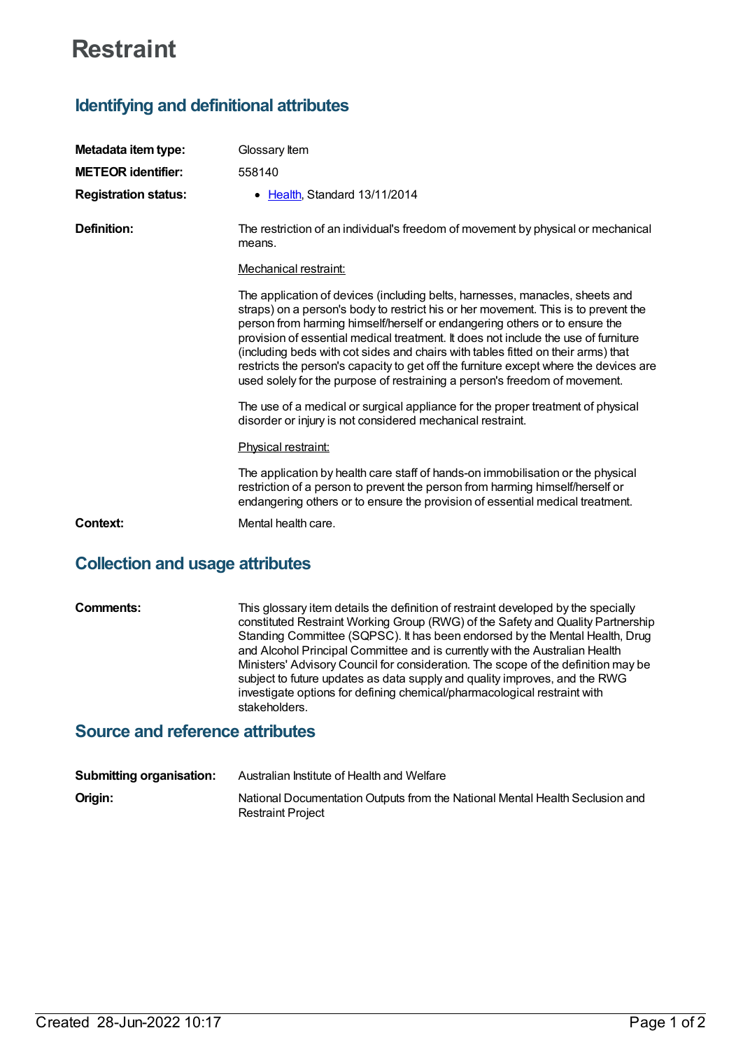# **Restraint**

## **Identifying and definitional attributes**

| Metadata item type:         | Glossary Item                                                                                                                                                                                                                                                                                                                                                                                                                                                                                                                                                                                     |
|-----------------------------|---------------------------------------------------------------------------------------------------------------------------------------------------------------------------------------------------------------------------------------------------------------------------------------------------------------------------------------------------------------------------------------------------------------------------------------------------------------------------------------------------------------------------------------------------------------------------------------------------|
| <b>METEOR identifier:</b>   | 558140                                                                                                                                                                                                                                                                                                                                                                                                                                                                                                                                                                                            |
| <b>Registration status:</b> | • Health, Standard 13/11/2014                                                                                                                                                                                                                                                                                                                                                                                                                                                                                                                                                                     |
| Definition:                 | The restriction of an individual's freedom of movement by physical or mechanical<br>means.                                                                                                                                                                                                                                                                                                                                                                                                                                                                                                        |
|                             | Mechanical restraint:                                                                                                                                                                                                                                                                                                                                                                                                                                                                                                                                                                             |
|                             | The application of devices (including belts, harnesses, manacles, sheets and<br>straps) on a person's body to restrict his or her movement. This is to prevent the<br>person from harming himself/herself or endangering others or to ensure the<br>provision of essential medical treatment. It does not include the use of furniture<br>(including beds with cot sides and chairs with tables fitted on their arms) that<br>restricts the person's capacity to get off the furniture except where the devices are<br>used solely for the purpose of restraining a person's freedom of movement. |
|                             | The use of a medical or surgical appliance for the proper treatment of physical<br>disorder or injury is not considered mechanical restraint.                                                                                                                                                                                                                                                                                                                                                                                                                                                     |
|                             | Physical restraint:                                                                                                                                                                                                                                                                                                                                                                                                                                                                                                                                                                               |
|                             | The application by health care staff of hands-on immobilisation or the physical<br>restriction of a person to prevent the person from harming himself/herself or<br>endangering others or to ensure the provision of essential medical treatment.                                                                                                                                                                                                                                                                                                                                                 |
| Context:                    | Mental health care.                                                                                                                                                                                                                                                                                                                                                                                                                                                                                                                                                                               |

### **Collection and usage attributes**

**Comments:** This glossary item details the definition of restraint developed by the specially constituted Restraint Working Group (RWG) of the Safety and Quality Partnership Standing Committee (SQPSC). It has been endorsed by the Mental Health, Drug and Alcohol Principal Committee and is currently with the Australian Health Ministers' Advisory Council for consideration. The scope of the definition may be subject to future updates as data supply and quality improves, and the RWG investigate options for defining chemical/pharmacological restraint with stakeholders.

#### **Source and reference attributes**

| <b>Submitting organisation:</b> | Australian Institute of Health and Welfare                                                               |
|---------------------------------|----------------------------------------------------------------------------------------------------------|
| Origin:                         | National Documentation Outputs from the National Mental Health Seclusion and<br><b>Restraint Project</b> |